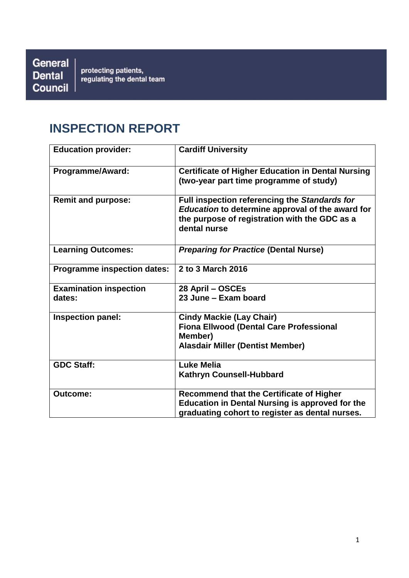General **Dental** Council

protecting patients,<br>regulating the dental team

# **INSPECTION REPORT**

| <b>Education provider:</b>         | <b>Cardiff University</b>                                                                                                                                          |
|------------------------------------|--------------------------------------------------------------------------------------------------------------------------------------------------------------------|
| Programme/Award:                   | <b>Certificate of Higher Education in Dental Nursing</b><br>(two-year part time programme of study)                                                                |
| <b>Remit and purpose:</b>          | Full inspection referencing the Standards for<br>Education to determine approval of the award for<br>the purpose of registration with the GDC as a<br>dental nurse |
| <b>Learning Outcomes:</b>          | <b>Preparing for Practice (Dental Nurse)</b>                                                                                                                       |
| <b>Programme inspection dates:</b> | 2 to 3 March 2016                                                                                                                                                  |
| <b>Examination inspection</b>      | 28 April - OSCEs                                                                                                                                                   |
| dates:                             | 23 June - Exam board                                                                                                                                               |
| <b>Inspection panel:</b>           | <b>Cindy Mackie (Lay Chair)</b>                                                                                                                                    |
|                                    | <b>Fiona Ellwood (Dental Care Professional</b><br>Member)                                                                                                          |
|                                    | <b>Alasdair Miller (Dentist Member)</b>                                                                                                                            |
| <b>GDC Staff:</b>                  | <b>Luke Melia</b>                                                                                                                                                  |
|                                    | Kathryn Counsell-Hubbard                                                                                                                                           |
| <b>Outcome:</b>                    | <b>Recommend that the Certificate of Higher</b>                                                                                                                    |
|                                    | <b>Education in Dental Nursing is approved for the</b>                                                                                                             |
|                                    | graduating cohort to register as dental nurses.                                                                                                                    |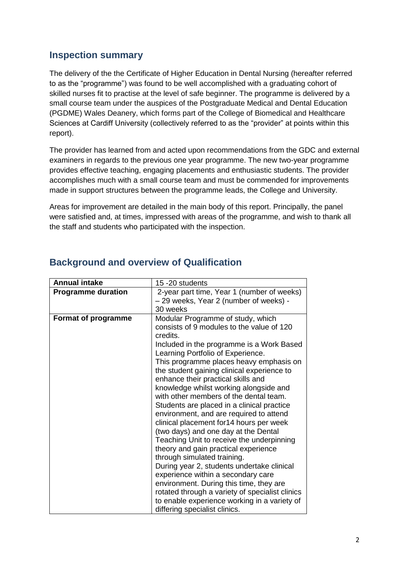### **Inspection summary**

The delivery of the the Certificate of Higher Education in Dental Nursing (hereafter referred to as the "programme") was found to be well accomplished with a graduating cohort of skilled nurses fit to practise at the level of safe beginner. The programme is delivered by a small course team under the auspices of the Postgraduate Medical and Dental Education (PGDME) Wales Deanery, which forms part of the College of Biomedical and Healthcare Sciences at Cardiff University (collectively referred to as the "provider" at points within this report).

The provider has learned from and acted upon recommendations from the GDC and external examiners in regards to the previous one year programme. The new two-year programme provides effective teaching, engaging placements and enthusiastic students. The provider accomplishes much with a small course team and must be commended for improvements made in support structures between the programme leads, the College and University.

Areas for improvement are detailed in the main body of this report. Principally, the panel were satisfied and, at times, impressed with areas of the programme, and wish to thank all the staff and students who participated with the inspection.

| <b>Annual intake</b>       | 15 -20 students                                                                |  |
|----------------------------|--------------------------------------------------------------------------------|--|
| <b>Programme duration</b>  | 2-year part time, Year 1 (number of weeks)                                     |  |
|                            | - 29 weeks, Year 2 (number of weeks) -                                         |  |
|                            | 30 weeks                                                                       |  |
| <b>Format of programme</b> | Modular Programme of study, which                                              |  |
|                            | consists of 9 modules to the value of 120                                      |  |
|                            | credits.                                                                       |  |
|                            | Included in the programme is a Work Based<br>Learning Portfolio of Experience. |  |
|                            | This programme places heavy emphasis on                                        |  |
|                            | the student gaining clinical experience to                                     |  |
|                            | enhance their practical skills and                                             |  |
|                            | knowledge whilst working alongside and                                         |  |
|                            | with other members of the dental team.                                         |  |
|                            | Students are placed in a clinical practice                                     |  |
|                            | environment, and are required to attend                                        |  |
|                            | clinical placement for 14 hours per week                                       |  |
|                            | (two days) and one day at the Dental                                           |  |
|                            | Teaching Unit to receive the underpinning                                      |  |
|                            | theory and gain practical experience                                           |  |
|                            | through simulated training.                                                    |  |
|                            | During year 2, students undertake clinical                                     |  |
|                            | experience within a secondary care                                             |  |
|                            | environment. During this time, they are                                        |  |
|                            | rotated through a variety of specialist clinics                                |  |
|                            | to enable experience working in a variety of                                   |  |
|                            | differing specialist clinics.                                                  |  |

### **Background and overview of Qualification**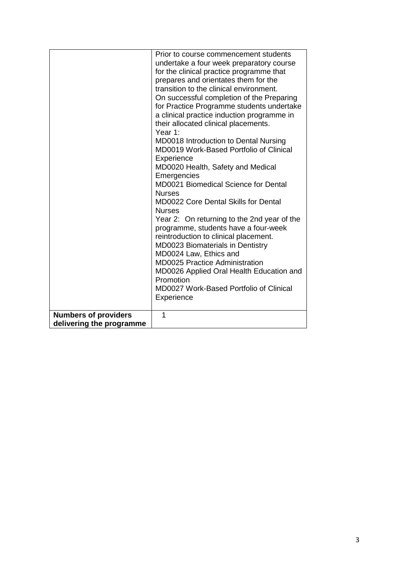|                             | Prior to course commencement students       |  |  |
|-----------------------------|---------------------------------------------|--|--|
|                             | undertake a four week preparatory course    |  |  |
|                             | for the clinical practice programme that    |  |  |
|                             |                                             |  |  |
|                             | prepares and orientates them for the        |  |  |
|                             | transition to the clinical environment.     |  |  |
|                             | On successful completion of the Preparing   |  |  |
|                             | for Practice Programme students undertake   |  |  |
|                             | a clinical practice induction programme in  |  |  |
|                             | their allocated clinical placements.        |  |  |
|                             | Year 1:                                     |  |  |
|                             | MD0018 Introduction to Dental Nursing       |  |  |
|                             | MD0019 Work-Based Portfolio of Clinical     |  |  |
|                             | Experience                                  |  |  |
|                             | MD0020 Health, Safety and Medical           |  |  |
|                             | Emergencies                                 |  |  |
|                             | MD0021 Biomedical Science for Dental        |  |  |
|                             | <b>Nurses</b>                               |  |  |
|                             | <b>MD0022 Core Dental Skills for Dental</b> |  |  |
|                             | <b>Nurses</b>                               |  |  |
|                             | Year 2: On returning to the 2nd year of the |  |  |
|                             | programme, students have a four-week        |  |  |
|                             | reintroduction to clinical placement.       |  |  |
|                             | MD0023 Biomaterials in Dentistry            |  |  |
|                             | MD0024 Law, Ethics and                      |  |  |
|                             | <b>MD0025 Practice Administration</b>       |  |  |
|                             | MD0026 Applied Oral Health Education and    |  |  |
|                             | Promotion                                   |  |  |
|                             | MD0027 Work-Based Portfolio of Clinical     |  |  |
|                             | Experience                                  |  |  |
|                             |                                             |  |  |
| <b>Numbers of providers</b> | 1                                           |  |  |
| delivering the programme    |                                             |  |  |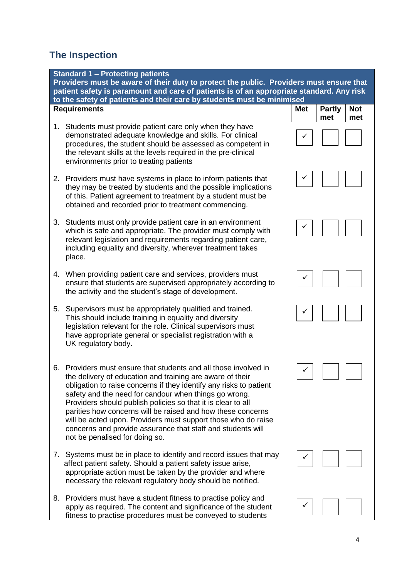# **The Inspection**

|    | <b>Standard 1 - Protecting patients</b><br>Providers must be aware of their duty to protect the public. Providers must ensure that<br>patient safety is paramount and care of patients is of an appropriate standard. Any risk<br>to the safety of patients and their care by students must be minimised                                                                                                                                                                                                                                                   |            |                      |                   |  |
|----|------------------------------------------------------------------------------------------------------------------------------------------------------------------------------------------------------------------------------------------------------------------------------------------------------------------------------------------------------------------------------------------------------------------------------------------------------------------------------------------------------------------------------------------------------------|------------|----------------------|-------------------|--|
|    | <b>Requirements</b>                                                                                                                                                                                                                                                                                                                                                                                                                                                                                                                                        | <b>Met</b> | <b>Partly</b><br>met | <b>Not</b><br>met |  |
|    | 1. Students must provide patient care only when they have<br>demonstrated adequate knowledge and skills. For clinical<br>procedures, the student should be assessed as competent in<br>the relevant skills at the levels required in the pre-clinical<br>environments prior to treating patients                                                                                                                                                                                                                                                           |            |                      |                   |  |
|    | 2. Providers must have systems in place to inform patients that<br>they may be treated by students and the possible implications<br>of this. Patient agreement to treatment by a student must be<br>obtained and recorded prior to treatment commencing.                                                                                                                                                                                                                                                                                                   |            |                      |                   |  |
| 3. | Students must only provide patient care in an environment<br>which is safe and appropriate. The provider must comply with<br>relevant legislation and requirements regarding patient care,<br>including equality and diversity, wherever treatment takes<br>place.                                                                                                                                                                                                                                                                                         |            |                      |                   |  |
|    | 4. When providing patient care and services, providers must<br>ensure that students are supervised appropriately according to<br>the activity and the student's stage of development.                                                                                                                                                                                                                                                                                                                                                                      |            |                      |                   |  |
| 5. | Supervisors must be appropriately qualified and trained.<br>This should include training in equality and diversity<br>legislation relevant for the role. Clinical supervisors must<br>have appropriate general or specialist registration with a<br>UK regulatory body.                                                                                                                                                                                                                                                                                    |            |                      |                   |  |
| 6. | Providers must ensure that students and all those involved in<br>the delivery of education and training are aware of their<br>obligation to raise concerns if they identify any risks to patient<br>safety and the need for candour when things go wrong.<br>Providers should publish policies so that it is clear to all<br>parities how concerns will be raised and how these concerns<br>will be acted upon. Providers must support those who do raise<br>concerns and provide assurance that staff and students will<br>not be penalised for doing so. |            |                      |                   |  |
|    | 7. Systems must be in place to identify and record issues that may<br>affect patient safety. Should a patient safety issue arise,<br>appropriate action must be taken by the provider and where<br>necessary the relevant regulatory body should be notified.                                                                                                                                                                                                                                                                                              |            |                      |                   |  |
| 8. | Providers must have a student fitness to practise policy and<br>apply as required. The content and significance of the student<br>fitness to practise procedures must be conveyed to students                                                                                                                                                                                                                                                                                                                                                              |            |                      |                   |  |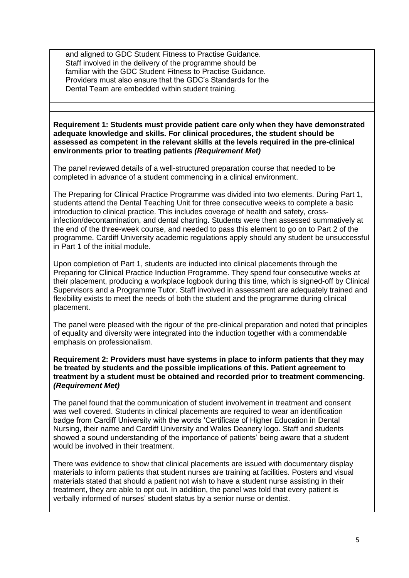and aligned to GDC Student Fitness to Practise Guidance. Staff involved in the delivery of the programme should be familiar with the GDC Student Fitness to Practise Guidance. Providers must also ensure that the GDC's Standards for the Dental Team are embedded within student training.

**Requirement 1: Students must provide patient care only when they have demonstrated adequate knowledge and skills. For clinical procedures, the student should be assessed as competent in the relevant skills at the levels required in the pre-clinical environments prior to treating patients** *(Requirement Met)*

The panel reviewed details of a well-structured preparation course that needed to be completed in advance of a student commencing in a clinical environment.

The Preparing for Clinical Practice Programme was divided into two elements. During Part 1, students attend the Dental Teaching Unit for three consecutive weeks to complete a basic introduction to clinical practice. This includes coverage of health and safety, crossinfection/decontamination, and dental charting. Students were then assessed summatively at the end of the three-week course, and needed to pass this element to go on to Part 2 of the programme. Cardiff University academic regulations apply should any student be unsuccessful in Part 1 of the initial module.

Upon completion of Part 1, students are inducted into clinical placements through the Preparing for Clinical Practice Induction Programme. They spend four consecutive weeks at their placement, producing a workplace logbook during this time, which is signed-off by Clinical Supervisors and a Programme Tutor. Staff involved in assessment are adequately trained and flexibility exists to meet the needs of both the student and the programme during clinical placement.

The panel were pleased with the rigour of the pre-clinical preparation and noted that principles of equality and diversity were integrated into the induction together with a commendable emphasis on professionalism.

#### **Requirement 2: Providers must have systems in place to inform patients that they may be treated by students and the possible implications of this. Patient agreement to treatment by a student must be obtained and recorded prior to treatment commencing.**  *(Requirement Met)*

The panel found that the communication of student involvement in treatment and consent was well covered. Students in clinical placements are required to wear an identification badge from Cardiff University with the words 'Certificate of Higher Education in Dental Nursing, their name and Cardiff University and Wales Deanery logo. Staff and students showed a sound understanding of the importance of patients' being aware that a student would be involved in their treatment.

There was evidence to show that clinical placements are issued with documentary display materials to inform patients that student nurses are training at facilities. Posters and visual materials stated that should a patient not wish to have a student nurse assisting in their treatment, they are able to opt out. In addition, the panel was told that every patient is verbally informed of nurses' student status by a senior nurse or dentist.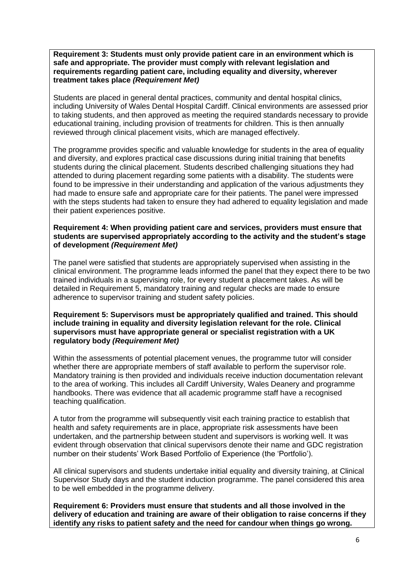**Requirement 3: Students must only provide patient care in an environment which is safe and appropriate. The provider must comply with relevant legislation and requirements regarding patient care, including equality and diversity, wherever treatment takes place** *(Requirement Met)*

Students are placed in general dental practices, community and dental hospital clinics, including University of Wales Dental Hospital Cardiff. Clinical environments are assessed prior to taking students, and then approved as meeting the required standards necessary to provide educational training, including provision of treatments for children. This is then annually reviewed through clinical placement visits, which are managed effectively.

The programme provides specific and valuable knowledge for students in the area of equality and diversity, and explores practical case discussions during initial training that benefits students during the clinical placement. Students described challenging situations they had attended to during placement regarding some patients with a disability. The students were found to be impressive in their understanding and application of the various adjustments they had made to ensure safe and appropriate care for their patients. The panel were impressed with the steps students had taken to ensure they had adhered to equality legislation and made their patient experiences positive.

#### **Requirement 4: When providing patient care and services, providers must ensure that students are supervised appropriately according to the activity and the student's stage of development** *(Requirement Met)*

The panel were satisfied that students are appropriately supervised when assisting in the clinical environment. The programme leads informed the panel that they expect there to be two trained individuals in a supervising role, for every student a placement takes. As will be detailed in Requirement 5, mandatory training and regular checks are made to ensure adherence to supervisor training and student safety policies.

#### **Requirement 5: Supervisors must be appropriately qualified and trained. This should include training in equality and diversity legislation relevant for the role. Clinical supervisors must have appropriate general or specialist registration with a UK regulatory body** *(Requirement Met)*

Within the assessments of potential placement venues, the programme tutor will consider whether there are appropriate members of staff available to perform the supervisor role. Mandatory training is then provided and individuals receive induction documentation relevant to the area of working. This includes all Cardiff University, Wales Deanery and programme handbooks. There was evidence that all academic programme staff have a recognised teaching qualification.

A tutor from the programme will subsequently visit each training practice to establish that health and safety requirements are in place, appropriate risk assessments have been undertaken, and the partnership between student and supervisors is working well. It was evident through observation that clinical supervisors denote their name and GDC registration number on their students' Work Based Portfolio of Experience (the 'Portfolio').

All clinical supervisors and students undertake initial equality and diversity training, at Clinical Supervisor Study days and the student induction programme. The panel considered this area to be well embedded in the programme delivery.

**Requirement 6: Providers must ensure that students and all those involved in the delivery of education and training are aware of their obligation to raise concerns if they identify any risks to patient safety and the need for candour when things go wrong.**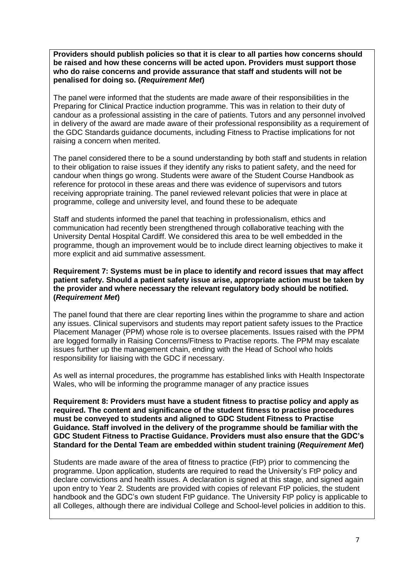**Providers should publish policies so that it is clear to all parties how concerns should be raised and how these concerns will be acted upon. Providers must support those who do raise concerns and provide assurance that staff and students will not be penalised for doing so. (***Requirement Met***)**

The panel were informed that the students are made aware of their responsibilities in the Preparing for Clinical Practice induction programme. This was in relation to their duty of candour as a professional assisting in the care of patients. Tutors and any personnel involved in delivery of the award are made aware of their professional responsibility as a requirement of the GDC Standards guidance documents, including Fitness to Practise implications for not raising a concern when merited.

The panel considered there to be a sound understanding by both staff and students in relation to their obligation to raise issues if they identify any risks to patient safety, and the need for candour when things go wrong. Students were aware of the Student Course Handbook as reference for protocol in these areas and there was evidence of supervisors and tutors receiving appropriate training. The panel reviewed relevant policies that were in place at programme, college and university level, and found these to be adequate

Staff and students informed the panel that teaching in professionalism, ethics and communication had recently been strengthened through collaborative teaching with the University Dental Hospital Cardiff. We considered this area to be well embedded in the programme, though an improvement would be to include direct learning objectives to make it more explicit and aid summative assessment.

#### **Requirement 7: Systems must be in place to identify and record issues that may affect patient safety. Should a patient safety issue arise, appropriate action must be taken by the provider and where necessary the relevant regulatory body should be notified. (***Requirement Met***)**

The panel found that there are clear reporting lines within the programme to share and action any issues. Clinical supervisors and students may report patient safety issues to the Practice Placement Manager (PPM) whose role is to oversee placements. Issues raised with the PPM are logged formally in Raising Concerns/Fitness to Practise reports. The PPM may escalate issues further up the management chain, ending with the Head of School who holds responsibility for liaising with the GDC if necessary.

As well as internal procedures, the programme has established links with Health Inspectorate Wales, who will be informing the programme manager of any practice issues

**Requirement 8: Providers must have a student fitness to practise policy and apply as required. The content and significance of the student fitness to practise procedures must be conveyed to students and aligned to GDC Student Fitness to Practise Guidance. Staff involved in the delivery of the programme should be familiar with the GDC Student Fitness to Practise Guidance. Providers must also ensure that the GDC's Standard for the Dental Team are embedded within student training (***Requirement Met***)**

Students are made aware of the area of fitness to practice (FtP) prior to commencing the programme. Upon application, students are required to read the University's FtP policy and declare convictions and health issues. A declaration is signed at this stage, and signed again upon entry to Year 2. Students are provided with copies of relevant FtP policies, the student handbook and the GDC's own student FtP guidance. The University FtP policy is applicable to all Colleges, although there are individual College and School-level policies in addition to this.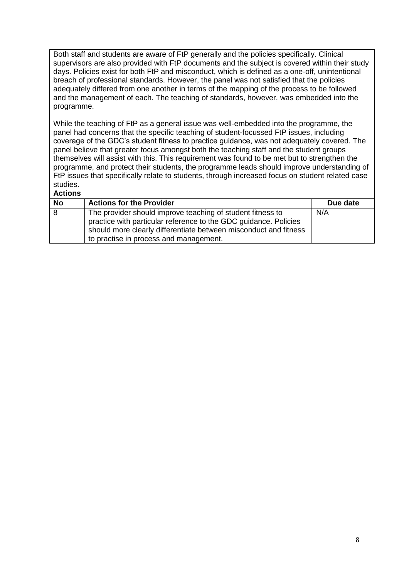Both staff and students are aware of FtP generally and the policies specifically. Clinical supervisors are also provided with FtP documents and the subject is covered within their study days. Policies exist for both FtP and misconduct, which is defined as a one-off, unintentional breach of professional standards. However, the panel was not satisfied that the policies adequately differed from one another in terms of the mapping of the process to be followed and the management of each. The teaching of standards, however, was embedded into the programme.

While the teaching of FtP as a general issue was well-embedded into the programme, the panel had concerns that the specific teaching of student-focussed FtP issues, including coverage of the GDC's student fitness to practice guidance, was not adequately covered. The panel believe that greater focus amongst both the teaching staff and the student groups themselves will assist with this. This requirement was found to be met but to strengthen the programme, and protect their students, the programme leads should improve understanding of FtP issues that specifically relate to students, through increased focus on student related case studies.

| <b>Actions</b> |                                                                                                                                                                                                                                              |          |
|----------------|----------------------------------------------------------------------------------------------------------------------------------------------------------------------------------------------------------------------------------------------|----------|
| <b>No</b>      | <b>Actions for the Provider</b>                                                                                                                                                                                                              | Due date |
| 8              | The provider should improve teaching of student fitness to<br>practice with particular reference to the GDC guidance. Policies<br>should more clearly differentiate between misconduct and fitness<br>to practise in process and management. | N/A      |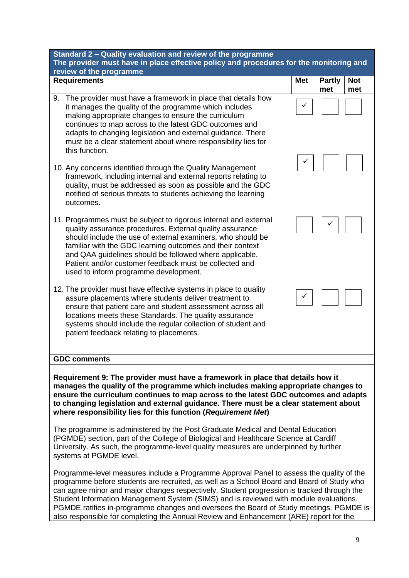| Standard 2 - Quality evaluation and review of the programme<br>The provider must have in place effective policy and procedures for the monitoring and<br>review of the programme                                                                                                                                                                                                                                       |            |                                           |  |  |
|------------------------------------------------------------------------------------------------------------------------------------------------------------------------------------------------------------------------------------------------------------------------------------------------------------------------------------------------------------------------------------------------------------------------|------------|-------------------------------------------|--|--|
| <b>Requirements</b>                                                                                                                                                                                                                                                                                                                                                                                                    | <b>Met</b> | <b>Not</b><br><b>Partly</b><br>met<br>met |  |  |
| The provider must have a framework in place that details how<br>9.<br>it manages the quality of the programme which includes<br>making appropriate changes to ensure the curriculum<br>continues to map across to the latest GDC outcomes and<br>adapts to changing legislation and external guidance. There<br>must be a clear statement about where responsibility lies for<br>this function.                        |            |                                           |  |  |
| 10. Any concerns identified through the Quality Management<br>framework, including internal and external reports relating to<br>quality, must be addressed as soon as possible and the GDC<br>notified of serious threats to students achieving the learning<br>outcomes.                                                                                                                                              |            |                                           |  |  |
| 11. Programmes must be subject to rigorous internal and external<br>quality assurance procedures. External quality assurance<br>should include the use of external examiners, who should be<br>familiar with the GDC learning outcomes and their context<br>and QAA guidelines should be followed where applicable.<br>Patient and/or customer feedback must be collected and<br>used to inform programme development. |            |                                           |  |  |
| 12. The provider must have effective systems in place to quality<br>assure placements where students deliver treatment to<br>ensure that patient care and student assessment across all<br>locations meets these Standards. The quality assurance<br>systems should include the regular collection of student and<br>patient feedback relating to placements.                                                          |            |                                           |  |  |
| <b>GDC comments</b>                                                                                                                                                                                                                                                                                                                                                                                                    |            |                                           |  |  |
| Requirement 9: The provider must have a framework in place that details how it<br>manages the quality of the programme which includes making appropriate changes to<br>ensure the curriculum continues to map across to the latest GDC outcomes and adapts<br>to changing legislation and external guidance. There must be a clear statement about<br>where responsibility lies for this function (Requirement Met)    |            |                                           |  |  |

The programme is administered by the Post Graduate Medical and Dental Education (PGMDE) section, part of the College of Biological and Healthcare Science at Cardiff University. As such, the programme-level quality measures are underpinned by further systems at PGMDE level.

Programme-level measures include a Programme Approval Panel to assess the quality of the programme before students are recruited, as well as a School Board and Board of Study who can agree minor and major changes respectively. Student progression is tracked through the Student Information Management System (SIMS) and is reviewed with module evaluations. PGMDE ratifies in-programme changes and oversees the Board of Study meetings. PGMDE is also responsible for completing the Annual Review and Enhancement (ARE) report for the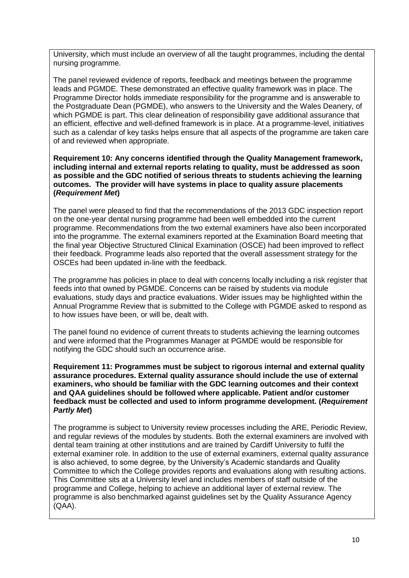University, which must include an overview of all the taught programmes, including the dental nursing programme.

The panel reviewed evidence of reports, feedback and meetings between the programme leads and PGMDE. These demonstrated an effective quality framework was in place. The Programme Director holds immediate responsibility for the programme and is answerable to the Postgraduate Dean (PGMDE), who answers to the University and the Wales Deanery, of which PGMDE is part. This clear delineation of responsibility gave additional assurance that an efficient, effective and well-defined framework is in place. At a programme-level, initiatives such as a calendar of key tasks helps ensure that all aspects of the programme are taken care of and reviewed when appropriate.

**Requirement 10: Any concerns identified through the Quality Management framework, including internal and external reports relating to quality, must be addressed as soon as possible and the GDC notified of serious threats to students achieving the learning outcomes. The provider will have systems in place to quality assure placements (***Requirement Met***)**

The panel were pleased to find that the recommendations of the 2013 GDC inspection report on the one-year dental nursing programme had been well embedded into the current programme. Recommendations from the two external examiners have also been incorporated into the programme. The external examiners reported at the Examination Board meeting that the final year Objective Structured Clinical Examination (OSCE) had been improved to reflect their feedback. Programme leads also reported that the overall assessment strategy for the OSCEs had been updated in-line with the feedback.

The programme has policies in place to deal with concerns locally including a risk register that feeds into that owned by PGMDE. Concerns can be raised by students via module evaluations, study days and practice evaluations. Wider issues may be highlighted within the Annual Programme Review that is submitted to the College with PGMDE asked to respond as to how issues have been, or will be, dealt with.

The panel found no evidence of current threats to students achieving the learning outcomes and were informed that the Programmes Manager at PGMDE would be responsible for notifying the GDC should such an occurrence arise.

**Requirement 11: Programmes must be subject to rigorous internal and external quality assurance procedures. External quality assurance should include the use of external examiners, who should be familiar with the GDC learning outcomes and their context and QAA guidelines should be followed where applicable. Patient and/or customer feedback must be collected and used to inform programme development. (***Requirement Partly Met***)**

The programme is subject to University review processes including the ARE, Periodic Review, and regular reviews of the modules by students. Both the external examiners are involved with dental team training at other institutions and are trained by Cardiff University to fulfil the external examiner role. In addition to the use of external examiners, external quality assurance is also achieved, to some degree, by the University's Academic standards and Quality Committee to which the College provides reports and evaluations along with resulting actions. This Committee sits at a University level and includes members of staff outside of the programme and College, helping to achieve an additional layer of external review. The programme is also benchmarked against guidelines set by the Quality Assurance Agency (QAA).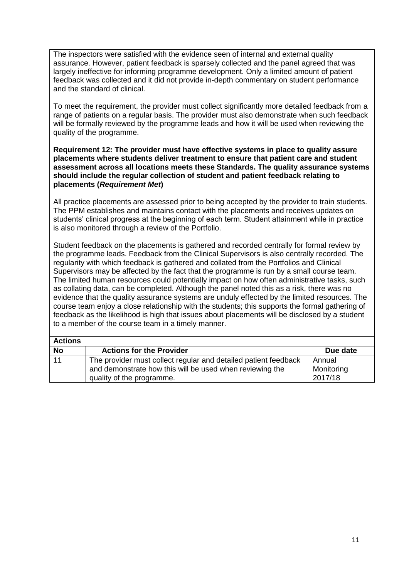The inspectors were satisfied with the evidence seen of internal and external quality assurance. However, patient feedback is sparsely collected and the panel agreed that was largely ineffective for informing programme development. Only a limited amount of patient feedback was collected and it did not provide in-depth commentary on student performance and the standard of clinical.

To meet the requirement, the provider must collect significantly more detailed feedback from a range of patients on a regular basis. The provider must also demonstrate when such feedback will be formally reviewed by the programme leads and how it will be used when reviewing the quality of the programme.

#### **Requirement 12: The provider must have effective systems in place to quality assure placements where students deliver treatment to ensure that patient care and student assessment across all locations meets these Standards. The quality assurance systems should include the regular collection of student and patient feedback relating to placements (***Requirement Met***)**

All practice placements are assessed prior to being accepted by the provider to train students. The PPM establishes and maintains contact with the placements and receives updates on students' clinical progress at the beginning of each term. Student attainment while in practice is also monitored through a review of the Portfolio.

Student feedback on the placements is gathered and recorded centrally for formal review by the programme leads. Feedback from the Clinical Supervisors is also centrally recorded. The regularity with which feedback is gathered and collated from the Portfolios and Clinical Supervisors may be affected by the fact that the programme is run by a small course team. The limited human resources could potentially impact on how often administrative tasks, such as collating data, can be completed. Although the panel noted this as a risk, there was no evidence that the quality assurance systems are unduly effected by the limited resources. The course team enjoy a close relationship with the students; this supports the formal gathering of feedback as the likelihood is high that issues about placements will be disclosed by a student to a member of the course team in a timely manner.

| <b>Actions</b> |                                                                 |            |
|----------------|-----------------------------------------------------------------|------------|
| <b>No</b>      | <b>Actions for the Provider</b>                                 | Due date   |
| 11             | The provider must collect regular and detailed patient feedback | Annual     |
|                | and demonstrate how this will be used when reviewing the        | Monitoring |
|                | quality of the programme.                                       | 2017/18    |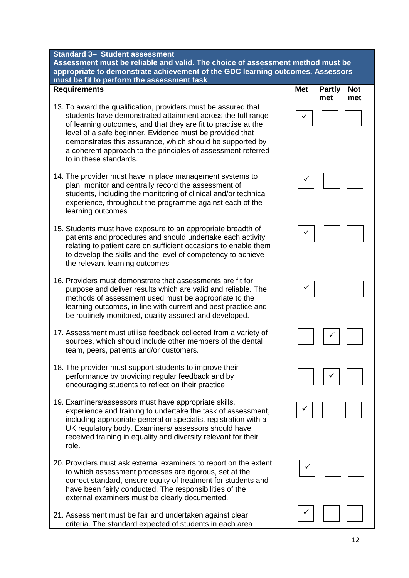**Requirements** 

**Assessment must be reliable and valid. The choice of assessmer** appropriate to demonstrate achievement of the GDC learning ou **must be fit to perform the assessment task**

- 13. To award the qualification, providers must be assured that students have demonstrated attainment across the full range of learning outcomes, and that they are fit to practise at the level of a safe beginner. Evidence must be provided that demonstrates this assurance, which should be supported by a coherent approach to the principles of assessment referred to in these standards.
- 14. The provider must have in place management systems to plan, monitor and centrally record the assessment of students, including the monitoring of clinical and/or technical experience, throughout the programme against each of the learning outcomes
- 15. Students must have exposure to an appropriate breadth of patients and procedures and should undertake each activity relating to patient care on sufficient occasions to enable them to develop the skills and the level of competency to achieve the relevant learning outcomes
- 16. Providers must demonstrate that assessments are fit for purpose and deliver results which are valid and reliable. The methods of assessment used must be appropriate to the learning outcomes, in line with current and best practice and be routinely monitored, quality assured and developed.
- 17. Assessment must utilise feedback collected from a variety of sources, which should include other members of the dental team, peers, patients and/or customers.
- 18. The provider must support students to improve their performance by providing regular feedback and by encouraging students to reflect on their practice.
- 19. Examiners/assessors must have appropriate skills, experience and training to undertake the task of assessment, including appropriate general or specialist registration with a UK regulatory body. Examiners/ assessors should have received training in equality and diversity relevant for their role.
- 20. Providers must ask external examiners to report on the extent to which assessment processes are rigorous, set at the correct standard, ensure equity of treatment for students and have been fairly conducted. The responsibilities of the external examiners must be clearly documented.
- 21. Assessment must be fair and undertaken against clear criteria. The standard expected of students in each area

| не шеш<br>uu must ne<br>tcomes. Assessors |                               |                                                             |                   |  |
|-------------------------------------------|-------------------------------|-------------------------------------------------------------|-------------------|--|
|                                           | <b>Met</b>                    | <b>Partly</b><br>met                                        | <b>Not</b><br>met |  |
|                                           |                               |                                                             |                   |  |
|                                           |                               |                                                             |                   |  |
|                                           |                               |                                                             |                   |  |
|                                           |                               |                                                             |                   |  |
|                                           |                               |                                                             |                   |  |
|                                           | $\overline{\phantom{a}}$<br>ı | $\sqrt{2}$                                                  | ſ                 |  |
|                                           |                               |                                                             |                   |  |
|                                           |                               |                                                             |                   |  |
|                                           | $\checkmark$                  | $\begin{array}{c} \begin{array}{c} \end{array} \end{array}$ |                   |  |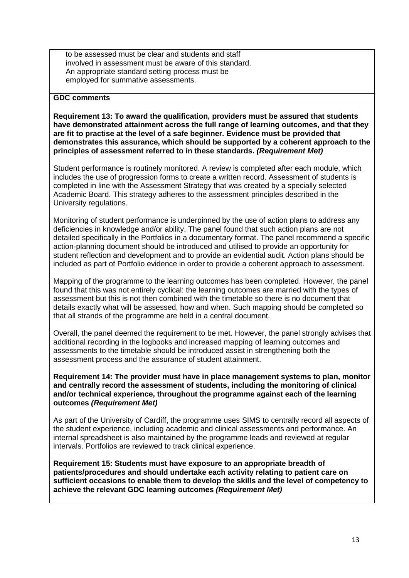to be assessed must be clear and students and staff involved in assessment must be aware of this standard. An appropriate standard setting process must be employed for summative assessments.

#### **GDC comments**

**Requirement 13: To award the qualification, providers must be assured that students have demonstrated attainment across the full range of learning outcomes, and that they are fit to practise at the level of a safe beginner. Evidence must be provided that demonstrates this assurance, which should be supported by a coherent approach to the principles of assessment referred to in these standards.** *(Requirement Met)*

Student performance is routinely monitored. A review is completed after each module, which includes the use of progression forms to create a written record. Assessment of students is completed in line with the Assessment Strategy that was created by a specially selected Academic Board. This strategy adheres to the assessment principles described in the University regulations.

Monitoring of student performance is underpinned by the use of action plans to address any deficiencies in knowledge and/or ability. The panel found that such action plans are not detailed specifically in the Portfolios in a documentary format. The panel recommend a specific action-planning document should be introduced and utilised to provide an opportunity for student reflection and development and to provide an evidential audit. Action plans should be included as part of Portfolio evidence in order to provide a coherent approach to assessment.

Mapping of the programme to the learning outcomes has been completed. However, the panel found that this was not entirely cyclical: the learning outcomes are married with the types of assessment but this is not then combined with the timetable so there is no document that details exactly what will be assessed, how and when. Such mapping should be completed so that all strands of the programme are held in a central document.

Overall, the panel deemed the requirement to be met. However, the panel strongly advises that additional recording in the logbooks and increased mapping of learning outcomes and assessments to the timetable should be introduced assist in strengthening both the assessment process and the assurance of student attainment.

#### **Requirement 14: The provider must have in place management systems to plan, monitor and centrally record the assessment of students, including the monitoring of clinical and/or technical experience, throughout the programme against each of the learning outcomes** *(Requirement Met)*

As part of the University of Cardiff, the programme uses SIMS to centrally record all aspects of the student experience, including academic and clinical assessments and performance. An internal spreadsheet is also maintained by the programme leads and reviewed at regular intervals. Portfolios are reviewed to track clinical experience.

**Requirement 15: Students must have exposure to an appropriate breadth of patients/procedures and should undertake each activity relating to patient care on sufficient occasions to enable them to develop the skills and the level of competency to achieve the relevant GDC learning outcomes** *(Requirement Met)*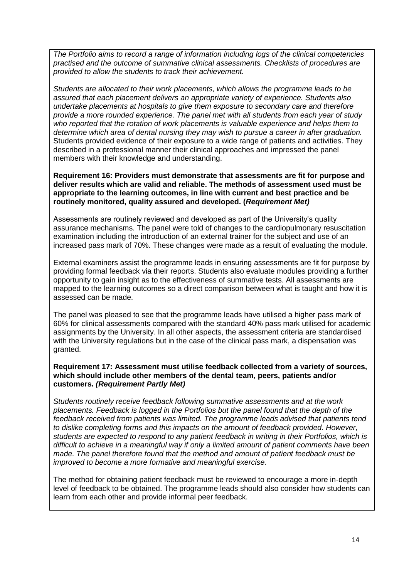*The Portfolio aims to record a range of information including logs of the clinical competencies practised and the outcome of summative clinical assessments. Checklists of procedures are provided to allow the students to track their achievement.*

*Students are allocated to their work placements, which allows the programme leads to be assured that each placement delivers an appropriate variety of experience. Students also undertake placements at hospitals to give them exposure to secondary care and therefore provide a more rounded experience. The panel met with all students from each year of study who reported that the rotation of work placements is valuable experience and helps them to determine which area of dental nursing they may wish to pursue a career in after graduation.* Students provided evidence of their exposure to a wide range of patients and activities. They described in a professional manner their clinical approaches and impressed the panel members with their knowledge and understanding.

**Requirement 16: Providers must demonstrate that assessments are fit for purpose and deliver results which are valid and reliable. The methods of assessment used must be appropriate to the learning outcomes, in line with current and best practice and be routinely monitored, quality assured and developed. (***Requirement Met)*

Assessments are routinely reviewed and developed as part of the University's quality assurance mechanisms. The panel were told of changes to the cardiopulmonary resuscitation examination including the introduction of an external trainer for the subject and use of an increased pass mark of 70%. These changes were made as a result of evaluating the module.

External examiners assist the programme leads in ensuring assessments are fit for purpose by providing formal feedback via their reports. Students also evaluate modules providing a further opportunity to gain insight as to the effectiveness of summative tests. All assessments are mapped to the learning outcomes so a direct comparison between what is taught and how it is assessed can be made.

The panel was pleased to see that the programme leads have utilised a higher pass mark of 60% for clinical assessments compared with the standard 40% pass mark utilised for academic assignments by the University. In all other aspects, the assessment criteria are standardised with the University regulations but in the case of the clinical pass mark, a dispensation was granted.

#### **Requirement 17: Assessment must utilise feedback collected from a variety of sources, which should include other members of the dental team, peers, patients and/or customers.** *(Requirement Partly Met)*

*Students routinely receive feedback following summative assessments and at the work placements. Feedback is logged in the Portfolios but the panel found that the depth of the feedback received from patients was limited. The programme leads advised that patients tend to dislike completing forms and this impacts on the amount of feedback provided. However, students are expected to respond to any patient feedback in writing in their Portfolios, which is difficult to achieve in a meaningful way if only a limited amount of patient comments have been made. The panel therefore found that the method and amount of patient feedback must be improved to become a more formative and meaningful exercise.*

The method for obtaining patient feedback must be reviewed to encourage a more in-depth level of feedback to be obtained. The programme leads should also consider how students can learn from each other and provide informal peer feedback.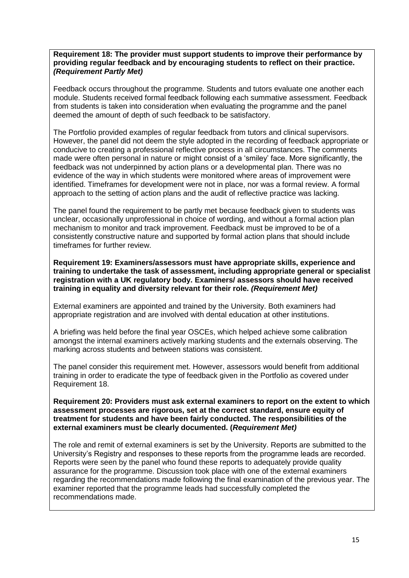#### **Requirement 18: The provider must support students to improve their performance by providing regular feedback and by encouraging students to reflect on their practice.** *(Requirement Partly Met)*

Feedback occurs throughout the programme. Students and tutors evaluate one another each module. Students received formal feedback following each summative assessment. Feedback from students is taken into consideration when evaluating the programme and the panel deemed the amount of depth of such feedback to be satisfactory.

The Portfolio provided examples of regular feedback from tutors and clinical supervisors. However, the panel did not deem the style adopted in the recording of feedback appropriate or conducive to creating a professional reflective process in all circumstances. The comments made were often personal in nature or might consist of a 'smiley' face. More significantly, the feedback was not underpinned by action plans or a developmental plan. There was no evidence of the way in which students were monitored where areas of improvement were identified. Timeframes for development were not in place, nor was a formal review. A formal approach to the setting of action plans and the audit of reflective practice was lacking.

The panel found the requirement to be partly met because feedback given to students was unclear, occasionally unprofessional in choice of wording, and without a formal action plan mechanism to monitor and track improvement. Feedback must be improved to be of a consistently constructive nature and supported by formal action plans that should include timeframes for further review.

**Requirement 19: Examiners/assessors must have appropriate skills, experience and training to undertake the task of assessment, including appropriate general or specialist registration with a UK regulatory body. Examiners/ assessors should have received training in equality and diversity relevant for their role.** *(Requirement Met)*

External examiners are appointed and trained by the University. Both examiners had appropriate registration and are involved with dental education at other institutions.

A briefing was held before the final year OSCEs, which helped achieve some calibration amongst the internal examiners actively marking students and the externals observing. The marking across students and between stations was consistent.

The panel consider this requirement met. However, assessors would benefit from additional training in order to eradicate the type of feedback given in the Portfolio as covered under Requirement 18.

**Requirement 20: Providers must ask external examiners to report on the extent to which assessment processes are rigorous, set at the correct standard, ensure equity of treatment for students and have been fairly conducted. The responsibilities of the external examiners must be clearly documented. (***Requirement Met)*

The role and remit of external examiners is set by the University. Reports are submitted to the University's Registry and responses to these reports from the programme leads are recorded. Reports were seen by the panel who found these reports to adequately provide quality assurance for the programme. Discussion took place with one of the external examiners regarding the recommendations made following the final examination of the previous year. The examiner reported that the programme leads had successfully completed the recommendations made.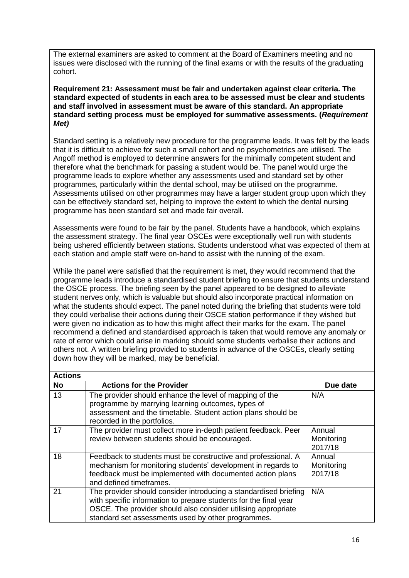The external examiners are asked to comment at the Board of Examiners meeting and no issues were disclosed with the running of the final exams or with the results of the graduating cohort.

**Requirement 21: Assessment must be fair and undertaken against clear criteria. The standard expected of students in each area to be assessed must be clear and students and staff involved in assessment must be aware of this standard. An appropriate standard setting process must be employed for summative assessments. (***Requirement Met)*

Standard setting is a relatively new procedure for the programme leads. It was felt by the leads that it is difficult to achieve for such a small cohort and no psychometrics are utilised. The Angoff method is employed to determine answers for the minimally competent student and therefore what the benchmark for passing a student would be. The panel would urge the programme leads to explore whether any assessments used and standard set by other programmes, particularly within the dental school, may be utilised on the programme. Assessments utilised on other programmes may have a larger student group upon which they can be effectively standard set, helping to improve the extent to which the dental nursing programme has been standard set and made fair overall.

Assessments were found to be fair by the panel. Students have a handbook, which explains the assessment strategy. The final year OSCEs were exceptionally well run with students being ushered efficiently between stations. Students understood what was expected of them at each station and ample staff were on-hand to assist with the running of the exam.

While the panel were satisfied that the requirement is met, they would recommend that the programme leads introduce a standardised student briefing to ensure that students understand the OSCE process. The briefing seen by the panel appeared to be designed to alleviate student nerves only, which is valuable but should also incorporate practical information on what the students should expect. The panel noted during the briefing that students were told they could verbalise their actions during their OSCE station performance if they wished but were given no indication as to how this might affect their marks for the exam. The panel recommend a defined and standardised approach is taken that would remove any anomaly or rate of error which could arise in marking should some students verbalise their actions and others not. A written briefing provided to students in advance of the OSCEs, clearly setting down how they will be marked, may be beneficial.

| <b>Actions</b> |                                                                                                                                                                                                                                                             |                                 |
|----------------|-------------------------------------------------------------------------------------------------------------------------------------------------------------------------------------------------------------------------------------------------------------|---------------------------------|
| <b>No</b>      | <b>Actions for the Provider</b>                                                                                                                                                                                                                             | Due date                        |
| 13             | The provider should enhance the level of mapping of the<br>programme by marrying learning outcomes, types of<br>assessment and the timetable. Student action plans should be<br>recorded in the portfolios.                                                 | N/A                             |
| 17             | The provider must collect more in-depth patient feedback. Peer<br>review between students should be encouraged.                                                                                                                                             | Annual<br>Monitoring<br>2017/18 |
| 18             | Feedback to students must be constructive and professional. A<br>mechanism for monitoring students' development in regards to<br>feedback must be implemented with documented action plans<br>and defined timeframes.                                       | Annual<br>Monitoring<br>2017/18 |
| 21             | The provider should consider introducing a standardised briefing<br>with specific information to prepare students for the final year<br>OSCE. The provider should also consider utilising appropriate<br>standard set assessments used by other programmes. | N/A                             |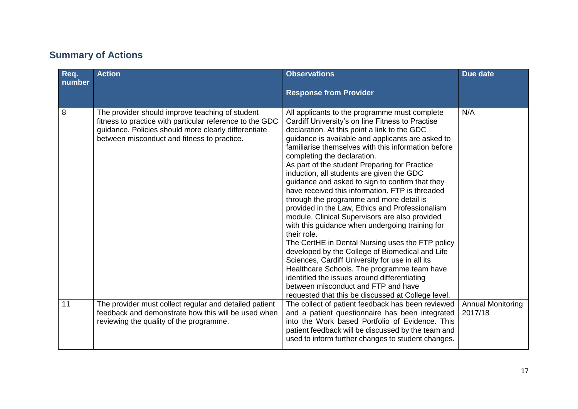## **Summary of Actions**

| Req.<br>number | <b>Action</b>                                                                                                                                                                                                      | <b>Observations</b><br><b>Response from Provider</b>                                                                                                                                                                                                                                                                                                                                                                                                                                                                                                                                                                                                                                                                                                                                                                                                                                                                                                                                                                                                                      | Due date                            |
|----------------|--------------------------------------------------------------------------------------------------------------------------------------------------------------------------------------------------------------------|---------------------------------------------------------------------------------------------------------------------------------------------------------------------------------------------------------------------------------------------------------------------------------------------------------------------------------------------------------------------------------------------------------------------------------------------------------------------------------------------------------------------------------------------------------------------------------------------------------------------------------------------------------------------------------------------------------------------------------------------------------------------------------------------------------------------------------------------------------------------------------------------------------------------------------------------------------------------------------------------------------------------------------------------------------------------------|-------------------------------------|
| 8              | The provider should improve teaching of student<br>fitness to practice with particular reference to the GDC<br>guidance. Policies should more clearly differentiate<br>between misconduct and fitness to practice. | All applicants to the programme must complete<br>Cardiff University's on line Fitness to Practise<br>declaration. At this point a link to the GDC<br>guidance is available and applicants are asked to<br>familiarise themselves with this information before<br>completing the declaration.<br>As part of the student Preparing for Practice<br>induction, all students are given the GDC<br>guidance and asked to sign to confirm that they<br>have received this information. FTP is threaded<br>through the programme and more detail is<br>provided in the Law, Ethics and Professionalism<br>module. Clinical Supervisors are also provided<br>with this guidance when undergoing training for<br>their role.<br>The CertHE in Dental Nursing uses the FTP policy<br>developed by the College of Biomedical and Life<br>Sciences, Cardiff University for use in all its<br>Healthcare Schools. The programme team have<br>identified the issues around differentiating<br>between misconduct and FTP and have<br>requested that this be discussed at College level. | N/A                                 |
| 11             | The provider must collect regular and detailed patient<br>feedback and demonstrate how this will be used when<br>reviewing the quality of the programme.                                                           | The collect of patient feedback has been reviewed<br>and a patient questionnaire has been integrated<br>into the Work based Portfolio of Evidence. This<br>patient feedback will be discussed by the team and<br>used to inform further changes to student changes.                                                                                                                                                                                                                                                                                                                                                                                                                                                                                                                                                                                                                                                                                                                                                                                                       | <b>Annual Monitoring</b><br>2017/18 |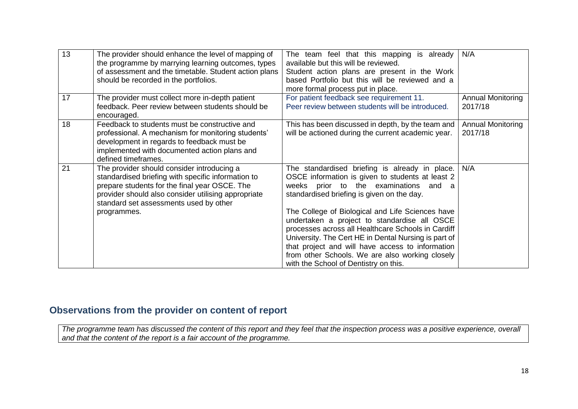| 13 | The provider should enhance the level of mapping of<br>the programme by marrying learning outcomes, types<br>of assessment and the timetable. Student action plans<br>should be recorded in the portfolios.                                                       | The team feel that this mapping is already<br>available but this will be reviewed.<br>Student action plans are present in the Work<br>based Portfolio but this will be reviewed and a<br>more formal process put in place.                                                                                                                                                                                                                                                                                                                                     | N/A                                 |
|----|-------------------------------------------------------------------------------------------------------------------------------------------------------------------------------------------------------------------------------------------------------------------|----------------------------------------------------------------------------------------------------------------------------------------------------------------------------------------------------------------------------------------------------------------------------------------------------------------------------------------------------------------------------------------------------------------------------------------------------------------------------------------------------------------------------------------------------------------|-------------------------------------|
| 17 | The provider must collect more in-depth patient<br>feedback. Peer review between students should be<br>encouraged.                                                                                                                                                | For patient feedback see requirement 11.<br>Peer review between students will be introduced.                                                                                                                                                                                                                                                                                                                                                                                                                                                                   | <b>Annual Monitoring</b><br>2017/18 |
| 18 | Feedback to students must be constructive and<br>professional. A mechanism for monitoring students'<br>development in regards to feedback must be<br>implemented with documented action plans and<br>defined timeframes.                                          | This has been discussed in depth, by the team and<br>will be actioned during the current academic year.                                                                                                                                                                                                                                                                                                                                                                                                                                                        | <b>Annual Monitoring</b><br>2017/18 |
| 21 | The provider should consider introducing a<br>standardised briefing with specific information to<br>prepare students for the final year OSCE. The<br>provider should also consider utilising appropriate<br>standard set assessments used by other<br>programmes. | The standardised briefing is already in place.<br>OSCE information is given to students at least 2<br>weeks prior to the examinations<br>and a<br>standardised briefing is given on the day.<br>The College of Biological and Life Sciences have<br>undertaken a project to standardise all OSCE<br>processes across all Healthcare Schools in Cardiff<br>University. The Cert HE in Dental Nursing is part of<br>that project and will have access to information<br>from other Schools. We are also working closely<br>with the School of Dentistry on this. | N/A                                 |

## **Observations from the provider on content of report**

*The programme team has discussed the content of this report and they feel that the inspection process was a positive experience, overall and that the content of the report is a fair account of the programme.*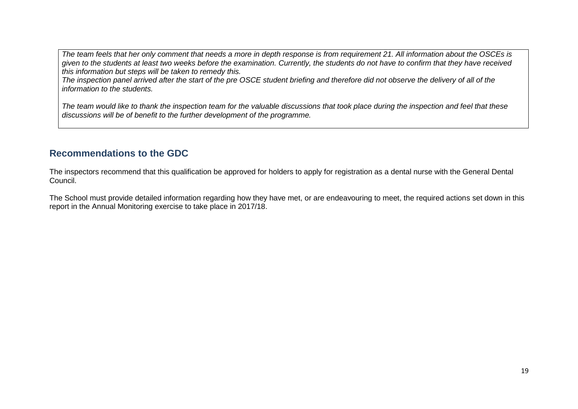*The team feels that her only comment that needs a more in depth response is from requirement 21. All information about the OSCEs is given to the students at least two weeks before the examination. Currently, the students do not have to confirm that they have received this information but steps will be taken to remedy this.*

*The inspection panel arrived after the start of the pre OSCE student briefing and therefore did not observe the delivery of all of the information to the students.*

*The team would like to thank the inspection team for the valuable discussions that took place during the inspection and feel that these discussions will be of benefit to the further development of the programme.*

### **Recommendations to the GDC**

The inspectors recommend that this qualification be approved for holders to apply for registration as a dental nurse with the General Dental Council.

The School must provide detailed information regarding how they have met, or are endeavouring to meet, the required actions set down in this report in the Annual Monitoring exercise to take place in 2017/18.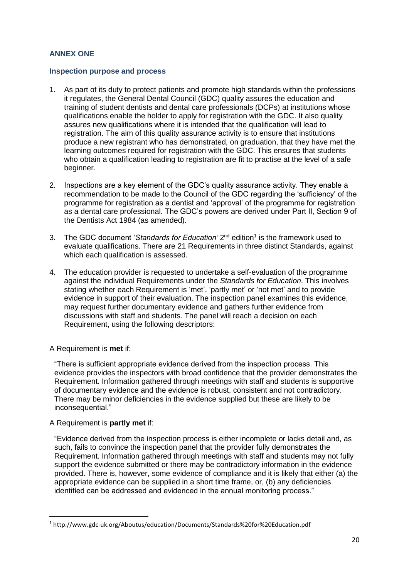#### **ANNEX ONE**

#### **Inspection purpose and process**

- 1. As part of its duty to protect patients and promote high standards within the professions it regulates, the General Dental Council (GDC) quality assures the education and training of student dentists and dental care professionals (DCPs) at institutions whose qualifications enable the holder to apply for registration with the GDC. It also quality assures new qualifications where it is intended that the qualification will lead to registration. The aim of this quality assurance activity is to ensure that institutions produce a new registrant who has demonstrated, on graduation, that they have met the learning outcomes required for registration with the GDC. This ensures that students who obtain a qualification leading to registration are fit to practise at the level of a safe beginner.
- 2. Inspections are a key element of the GDC's quality assurance activity. They enable a recommendation to be made to the Council of the GDC regarding the 'sufficiency' of the programme for registration as a dentist and 'approval' of the programme for registration as a dental care professional. The GDC's powers are derived under Part II, Section 9 of the Dentists Act 1984 (as amended).
- 3. The GDC document 'Standards for Education' 2<sup>nd</sup> edition<sup>1</sup> is the framework used to evaluate qualifications. There are 21 Requirements in three distinct Standards, against which each qualification is assessed.
- 4. The education provider is requested to undertake a self-evaluation of the programme against the individual Requirements under the *Standards for Education*. This involves stating whether each Requirement is 'met', 'partly met' or 'not met' and to provide evidence in support of their evaluation. The inspection panel examines this evidence, may request further documentary evidence and gathers further evidence from discussions with staff and students. The panel will reach a decision on each Requirement, using the following descriptors:
- A Requirement is **met** if:

"There is sufficient appropriate evidence derived from the inspection process. This evidence provides the inspectors with broad confidence that the provider demonstrates the Requirement. Information gathered through meetings with staff and students is supportive of documentary evidence and the evidence is robust, consistent and not contradictory. There may be minor deficiencies in the evidence supplied but these are likely to be inconsequential."

A Requirement is **partly met** if:

**.** 

"Evidence derived from the inspection process is either incomplete or lacks detail and, as such, fails to convince the inspection panel that the provider fully demonstrates the Requirement. Information gathered through meetings with staff and students may not fully support the evidence submitted or there may be contradictory information in the evidence provided. There is, however, some evidence of compliance and it is likely that either (a) the appropriate evidence can be supplied in a short time frame, or, (b) any deficiencies identified can be addressed and evidenced in the annual monitoring process."

<sup>1</sup> http://www.gdc-uk.org/Aboutus/education/Documents/Standards%20for%20Education.pdf